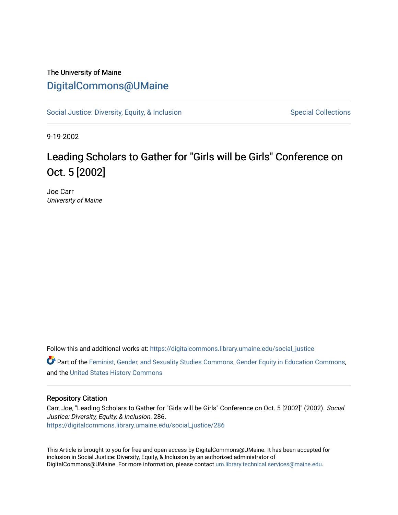## The University of Maine [DigitalCommons@UMaine](https://digitalcommons.library.umaine.edu/)

[Social Justice: Diversity, Equity, & Inclusion](https://digitalcommons.library.umaine.edu/social_justice) [Special Collections](https://digitalcommons.library.umaine.edu/specialcollections) Special Collections

9-19-2002

## Leading Scholars to Gather for "Girls will be Girls" Conference on Oct. 5 [2002]

Joe Carr University of Maine

Follow this and additional works at: [https://digitalcommons.library.umaine.edu/social\\_justice](https://digitalcommons.library.umaine.edu/social_justice?utm_source=digitalcommons.library.umaine.edu%2Fsocial_justice%2F286&utm_medium=PDF&utm_campaign=PDFCoverPages) 

Part of the [Feminist, Gender, and Sexuality Studies Commons](http://network.bepress.com/hgg/discipline/559?utm_source=digitalcommons.library.umaine.edu%2Fsocial_justice%2F286&utm_medium=PDF&utm_campaign=PDFCoverPages), [Gender Equity in Education Commons](http://network.bepress.com/hgg/discipline/1376?utm_source=digitalcommons.library.umaine.edu%2Fsocial_justice%2F286&utm_medium=PDF&utm_campaign=PDFCoverPages), and the [United States History Commons](http://network.bepress.com/hgg/discipline/495?utm_source=digitalcommons.library.umaine.edu%2Fsocial_justice%2F286&utm_medium=PDF&utm_campaign=PDFCoverPages) 

## Repository Citation

Carr, Joe, "Leading Scholars to Gather for "Girls will be Girls" Conference on Oct. 5 [2002]" (2002). Social Justice: Diversity, Equity, & Inclusion. 286. [https://digitalcommons.library.umaine.edu/social\\_justice/286](https://digitalcommons.library.umaine.edu/social_justice/286?utm_source=digitalcommons.library.umaine.edu%2Fsocial_justice%2F286&utm_medium=PDF&utm_campaign=PDFCoverPages) 

This Article is brought to you for free and open access by DigitalCommons@UMaine. It has been accepted for inclusion in Social Justice: Diversity, Equity, & Inclusion by an authorized administrator of DigitalCommons@UMaine. For more information, please contact [um.library.technical.services@maine.edu](mailto:um.library.technical.services@maine.edu).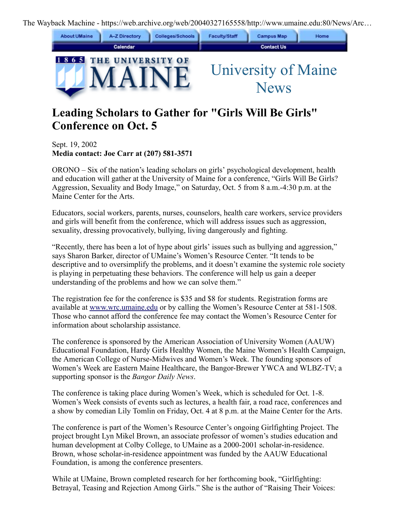The Wayback Machine - https://web.archive.org/web/20040327165558/http://www.umaine.edu:80/News/Arc…



## **Leading Scholars to Gather for "Girls Will Be Girls" Conference on Oct. 5**

Sept. 19, 2002 **Media contact: Joe Carr at (207) 581-3571**

ORONO – Six of the nation's leading scholars on girls' psychological development, health and education will gather at the University of Maine for a conference, "Girls Will Be Girls? Aggression, Sexuality and Body Image," on Saturday, Oct. 5 from 8 a.m.-4:30 p.m. at the Maine Center for the Arts.

Educators, social workers, parents, nurses, counselors, health care workers, service providers and girls will benefit from the conference, which will address issues such as aggression, sexuality, dressing provocatively, bullying, living dangerously and fighting.

"Recently, there has been a lot of hype about girls' issues such as bullying and aggression," says Sharon Barker, director of UMaine's Women's Resource Center. "It tends to be descriptive and to oversimplify the problems, and it doesn't examine the systemic role society is playing in perpetuating these behaviors. The conference will help us gain a deeper understanding of the problems and how we can solve them."

The registration fee for the conference is \$35 and \$8 for students. Registration forms are available at [www.wrc.umaine.edu](https://web.archive.org/web/20040327165558/http://www.wrc.umaine.edu/) or by calling the Women's Resource Center at 581-1508. Those who cannot afford the conference fee may contact the Women's Resource Center for information about scholarship assistance.

The conference is sponsored by the American Association of University Women (AAUW) Educational Foundation, Hardy Girls Healthy Women, the Maine Women's Health Campaign, the American College of Nurse-Midwives and Women's Week. The founding sponsors of Women's Week are Eastern Maine Healthcare, the Bangor-Brewer YWCA and WLBZ-TV; a supporting sponsor is the *Bangor Daily News*.

The conference is taking place during Women's Week, which is scheduled for Oct. 1-8. Women's Week consists of events such as lectures, a health fair, a road race, conferences and a show by comedian Lily Tomlin on Friday, Oct. 4 at 8 p.m. at the Maine Center for the Arts.

The conference is part of the Women's Resource Center's ongoing Girlfighting Project. The project brought Lyn Mikel Brown, an associate professor of women's studies education and human development at Colby College, to UMaine as a 2000-2001 scholar-in-residence. Brown, whose scholar-in-residence appointment was funded by the AAUW Educational Foundation, is among the conference presenters.

While at UMaine, Brown completed research for her forthcoming book, "Girlfighting: Betrayal, Teasing and Rejection Among Girls." She is the author of "Raising Their Voices: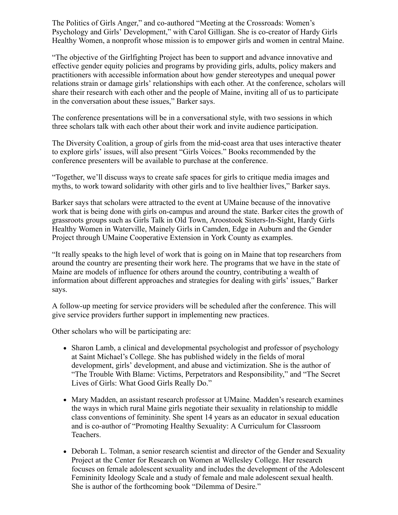The Politics of Girls Anger," and co-authored "Meeting at the Crossroads: Women's Psychology and Girls' Development," with Carol Gilligan. She is co-creator of Hardy Girls Healthy Women, a nonprofit whose mission is to empower girls and women in central Maine.

"The objective of the Girlfighting Project has been to support and advance innovative and effective gender equity policies and programs by providing girls, adults, policy makers and practitioners with accessible information about how gender stereotypes and unequal power relations strain or damage girls' relationships with each other. At the conference, scholars will share their research with each other and the people of Maine, inviting all of us to participate in the conversation about these issues," Barker says.

The conference presentations will be in a conversational style, with two sessions in which three scholars talk with each other about their work and invite audience participation.

The Diversity Coalition, a group of girls from the mid-coast area that uses interactive theater to explore girls' issues, will also present "Girls Voices." Books recommended by the conference presenters will be available to purchase at the conference.

"Together, we'll discuss ways to create safe spaces for girls to critique media images and myths, to work toward solidarity with other girls and to live healthier lives," Barker says.

Barker says that scholars were attracted to the event at UMaine because of the innovative work that is being done with girls on-campus and around the state. Barker cites the growth of grassroots groups such as Girls Talk in Old Town, Aroostook Sisters-In-Sight, Hardy Girls Healthy Women in Waterville, Mainely Girls in Camden, Edge in Auburn and the Gender Project through UMaine Cooperative Extension in York County as examples.

"It really speaks to the high level of work that is going on in Maine that top researchers from around the country are presenting their work here. The programs that we have in the state of Maine are models of influence for others around the country, contributing a wealth of information about different approaches and strategies for dealing with girls' issues," Barker says.

A follow-up meeting for service providers will be scheduled after the conference. This will give service providers further support in implementing new practices.

Other scholars who will be participating are:

- Sharon Lamb, a clinical and developmental psychologist and professor of psychology at Saint Michael's College. She has published widely in the fields of moral development, girls' development, and abuse and victimization. She is the author of "The Trouble With Blame: Victims, Perpetrators and Responsibility," and "The Secret Lives of Girls: What Good Girls Really Do."
- Mary Madden, an assistant research professor at UMaine. Madden's research examines the ways in which rural Maine girls negotiate their sexuality in relationship to middle class conventions of femininity. She spent 14 years as an educator in sexual education and is co-author of "Promoting Healthy Sexuality: A Curriculum for Classroom Teachers.
- Deborah L. Tolman, a senior research scientist and director of the Gender and Sexuality Project at the Center for Research on Women at Wellesley College. Her research focuses on female adolescent sexuality and includes the development of the Adolescent Femininity Ideology Scale and a study of female and male adolescent sexual health. She is author of the forthcoming book "Dilemma of Desire."